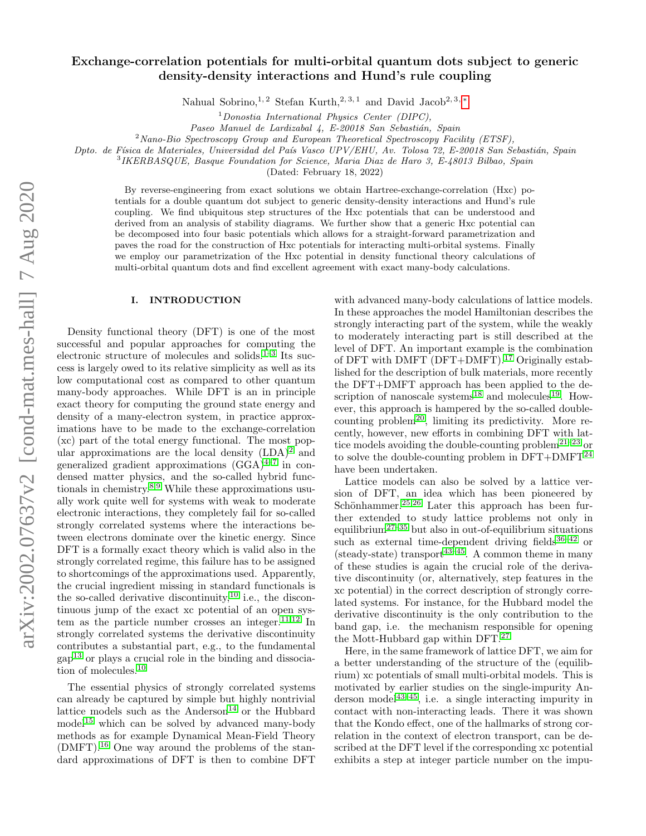# Exchange-correlation potentials for multi-orbital quantum dots subject to generic density-density interactions and Hund's rule coupling

Nahual Sobrino,<sup>1,2</sup> Stefan Kurth,<sup>2,3,1</sup> and David Jacob<sup>2,3,\*</sup>

 $1$ Donostia International Physics Center (DIPC),

Paseo Manuel de Lardizabal 4, E-20018 San Sebastián, Spain

 $2$ Nano-Bio Spectroscopy Group and European Theoretical Spectroscopy Facility (ETSF),

Dpto. de Física de Materiales, Universidad del País Vasco UPV/EHU, Av. Tolosa 72, E-20018 San Sebastián, Spain

3 IKERBASQUE, Basque Foundation for Science, Maria Diaz de Haro 3, E-48013 Bilbao, Spain

(Dated: February 18, 2022)

By reverse-engineering from exact solutions we obtain Hartree-exchange-correlation (Hxc) potentials for a double quantum dot subject to generic density-density interactions and Hund's rule coupling. We find ubiquitous step structures of the Hxc potentials that can be understood and derived from an analysis of stability diagrams. We further show that a generic Hxc potential can be decomposed into four basic potentials which allows for a straight-forward parametrization and paves the road for the construction of Hxc potentials for interacting multi-orbital systems. Finally we employ our parametrization of the Hxc potential in density functional theory calculations of multi-orbital quantum dots and find excellent agreement with exact many-body calculations.

### I. INTRODUCTION

Density functional theory (DFT) is one of the most successful and popular approaches for computing the electronic structure of molecules and solids.<sup>[1](#page-11-1)[–3](#page-11-2)</sup> Its success is largely owed to its relative simplicity as well as its low computational cost as compared to other quantum many-body approaches. While DFT is an in principle exact theory for computing the ground state energy and density of a many-electron system, in practice approximations have to be made to the exchange-correlation (xc) part of the total energy functional. The most popular approximations are the local density  $(LDA)^2$  $(LDA)^2$  and generalized gradient approximations  $(GGA)^{4-7}$  $(GGA)^{4-7}$  $(GGA)^{4-7}$  in condensed matter physics, and the so-called hybrid functionals in chemistry.[8,](#page-11-6)[9](#page-11-7) While these approximations usually work quite well for systems with weak to moderate electronic interactions, they completely fail for so-called strongly correlated systems where the interactions between electrons dominate over the kinetic energy. Since DFT is a formally exact theory which is valid also in the strongly correlated regime, this failure has to be assigned to shortcomings of the approximations used. Apparently, the crucial ingredient missing in standard functionals is the so-called derivative discontinuity,  $^{10}$  $^{10}$  $^{10}$  i.e., the discontinuous jump of the exact xc potential of an open sys-tem as the particle number crosses an integer.<sup>[11,](#page-11-9)[12](#page-11-10)</sup> In strongly correlated systems the derivative discontinuity contributes a substantial part, e.g., to the fundamental  $\text{gap}^{13}$  $\text{gap}^{13}$  $\text{gap}^{13}$  or plays a crucial role in the binding and dissociation of molecules.[10](#page-11-8)

The essential physics of strongly correlated systems can already be captured by simple but highly nontrivial lattice models such as the Anderson<sup>[14](#page-11-12)</sup> or the Hubbard model[15](#page-11-13) which can be solved by advanced many-body methods as for example Dynamical Mean-Field Theory  $(DMFT).$ <sup>[16](#page-11-14)</sup> One way around the problems of the standard approximations of DFT is then to combine DFT

with advanced many-body calculations of lattice models. In these approaches the model Hamiltonian describes the strongly interacting part of the system, while the weakly to moderately interacting part is still described at the level of DFT. An important example is the combination of DFT with DMFT (DFT+DMFT).[17](#page-11-15) Originally established for the description of bulk materials, more recently the DFT+DMFT approach has been applied to the de-scription of nanoscale systems<sup>[18](#page-11-16)</sup> and molecules<sup>[19](#page-11-17)</sup>. However, this approach is hampered by the so-called double-counting problem<sup>[20](#page-11-18)</sup>, limiting its predictivity. More recently, however, new efforts in combining DFT with lat-tice models avoiding the double-counting problem<sup>[21](#page-11-19)[–23](#page-11-20)</sup> or to solve the double-counting problem in  $DFT+DMFT^{24}$  $DFT+DMFT^{24}$  $DFT+DMFT^{24}$ have been undertaken.

Lattice models can also be solved by a lattice version of DFT, an idea which has been pioneered by Schönhammer.<sup>[25](#page-11-22)[,26](#page-11-23)</sup> Later this approach has been further extended to study lattice problems not only in equilibrium<sup>[27–](#page-11-24)[35](#page-11-25)</sup> but also in out-of-equilibrium situations such as external time-dependent driving fields  $36-42$  $36-42$  or (steady-state) transport<sup>[43–](#page-11-28)[45](#page-11-29)</sup>. A common theme in many of these studies is again the crucial role of the derivative discontinuity (or, alternatively, step features in the xc potential) in the correct description of strongly correlated systems. For instance, for the Hubbard model the derivative discontinuity is the only contribution to the band gap, i.e. the mechanism responsible for opening the Mott-Hubbard gap within DFT.[27](#page-11-24)

Here, in the same framework of lattice DFT, we aim for a better understanding of the structure of the (equilibrium) xc potentials of small multi-orbital models. This is motivated by earlier studies on the single-impurity An-derson model<sup>[43–](#page-11-28)[45](#page-11-29)</sup>, i.e. a single interacting impurity in contact with non-interacting leads. There it was shown that the Kondo effect, one of the hallmarks of strong correlation in the context of electron transport, can be described at the DFT level if the corresponding xc potential exhibits a step at integer particle number on the impu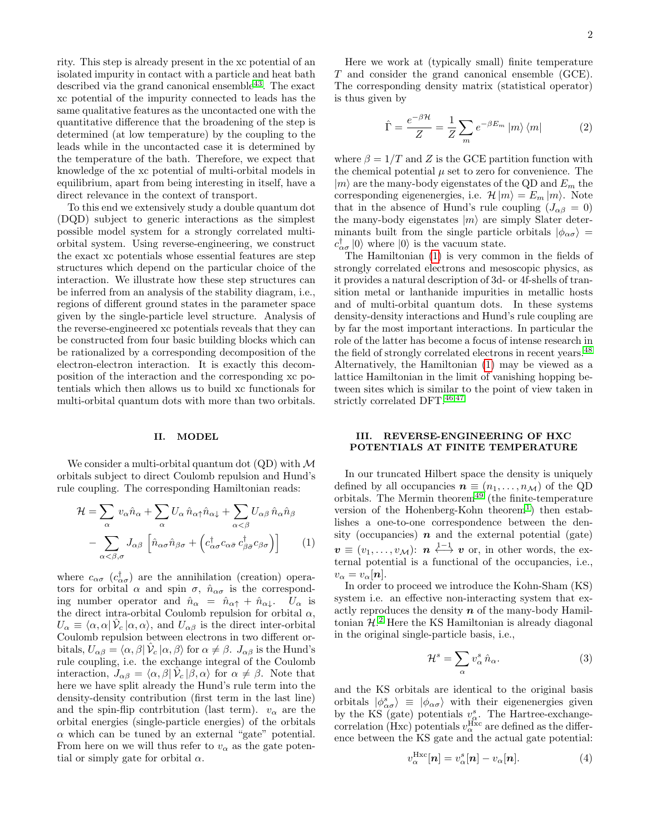rity. This step is already present in the xc potential of an isolated impurity in contact with a particle and heat bath described via the grand canonical ensemble  $43$ . The exact xc potential of the impurity connected to leads has the same qualitative features as the uncontacted one with the quantitative difference that the broadening of the step is determined (at low temperature) by the coupling to the leads while in the uncontacted case it is determined by the temperature of the bath. Therefore, we expect that knowledge of the xc potential of multi-orbital models in equilibrium, apart from being interesting in itself, have a direct relevance in the context of transport.

To this end we extensively study a double quantum dot (DQD) subject to generic interactions as the simplest possible model system for a strongly correlated multiorbital system. Using reverse-engineering, we construct the exact xc potentials whose essential features are step structures which depend on the particular choice of the interaction. We illustrate how these step structures can be inferred from an analysis of the stability diagram, i.e., regions of different ground states in the parameter space given by the single-particle level structure. Analysis of the reverse-engineered xc potentials reveals that they can be constructed from four basic building blocks which can be rationalized by a corresponding decomposition of the electron-electron interaction. It is exactly this decomposition of the interaction and the corresponding xc potentials which then allows us to build xc functionals for multi-orbital quantum dots with more than two orbitals.

#### II. MODEL

We consider a multi-orbital quantum dot  $(QD)$  with  $\mathcal M$ orbitals subject to direct Coulomb repulsion and Hund's rule coupling. The corresponding Hamiltonian reads:

<span id="page-1-0"></span>
$$
\mathcal{H} = \sum_{\alpha} v_{\alpha} \hat{n}_{\alpha} + \sum_{\alpha} U_{\alpha} \hat{n}_{\alpha \uparrow} \hat{n}_{\alpha \downarrow} + \sum_{\alpha < \beta} U_{\alpha \beta} \hat{n}_{\alpha} \hat{n}_{\beta} \n- \sum_{\alpha < \beta, \sigma} J_{\alpha \beta} \left[ \hat{n}_{\alpha \sigma} \hat{n}_{\beta \sigma} + \left( c_{\alpha \sigma}^{\dagger} c_{\alpha \bar{\sigma}} c_{\beta \bar{\sigma}}^{\dagger} c_{\beta \sigma} \right) \right]
$$
\n(1)

where  $c_{\alpha\sigma}$  ( $c_{\alpha\sigma}^{\dagger}$ ) are the annihilation (creation) operators for orbital  $\alpha$  and spin  $\sigma$ ,  $\hat{n}_{\alpha\sigma}$  is the corresponding number operator and  $\hat{n}_{\alpha} = \hat{n}_{\alpha\uparrow} + \hat{n}_{\alpha\downarrow}$ .  $U_{\alpha}$  is the direct intra-orbital Coulomb repulsion for orbital  $\alpha$ ,  $U_{\alpha} \equiv \langle \alpha, \alpha | \hat{\mathcal{V}}_c | \alpha, \alpha \rangle$ , and  $U_{\alpha\beta}$  is the direct inter-orbital Coulomb repulsion between electrons in two different orbitals,  $U_{\alpha\beta} = \langle \alpha, \beta | \hat{\mathcal{V}}_c | \alpha, \beta \rangle$  for  $\alpha \neq \beta$ .  $J_{\alpha\beta}$  is the Hund's rule coupling, i.e. the exchange integral of the Coulomb interaction,  $J_{\alpha\beta} = \langle \alpha, \beta | \hat{\mathcal{V}}_c | \beta, \alpha \rangle$  for  $\alpha \neq \beta$ . Note that here we have split already the Hund's rule term into the density-density contribution (first term in the last line) and the spin-flip contrbitution (last term).  $v_{\alpha}$  are the orbital energies (single-particle energies) of the orbitals  $\alpha$  which can be tuned by an external "gate" potential. From here on we will thus refer to  $v_{\alpha}$  as the gate potential or simply gate for orbital  $\alpha$ .

Here we work at (typically small) finite temperature T and consider the grand canonical ensemble (GCE). The corresponding density matrix (statistical operator) is thus given by

$$
\hat{\Gamma} = \frac{e^{-\beta \mathcal{H}}}{Z} = \frac{1}{Z} \sum_{m} e^{-\beta E_{m}} |m\rangle \langle m|
$$
 (2)

where  $\beta = 1/T$  and Z is the GCE partition function with the chemical potential  $\mu$  set to zero for convenience. The  $|m\rangle$  are the many-body eigenstates of the QD and  $E_m$  the corresponding eigenenergies, i.e.  $\mathcal{H}|m\rangle = E_m |m\rangle$ . Note that in the absence of Hund's rule coupling  $(J_{\alpha\beta} = 0)$ the many-body eigenstates  $|m\rangle$  are simply Slater determinants built from the single particle orbitals  $|\phi_{\alpha\sigma}\rangle$  =  $c_{\alpha\sigma}^{\dagger}$  (0) where (0) is the vacuum state.

The Hamiltonian [\(1\)](#page-1-0) is very common in the fields of strongly correlated electrons and mesoscopic physics, as it provides a natural description of 3d- or 4f-shells of transition metal or lanthanide impurities in metallic hosts and of multi-orbital quantum dots. In these systems density-density interactions and Hund's rule coupling are by far the most important interactions. In particular the role of the latter has become a focus of intense research in the field of strongly correlated electrons in recent years.<sup>[48](#page-11-30)</sup> Alternatively, the Hamiltonian [\(1\)](#page-1-0) may be viewed as a lattice Hamiltonian in the limit of vanishing hopping between sites which is similar to the point of view taken in strictly correlated DFT.  $^{46,47}$  $^{46,47}$  $^{46,47}$  $^{46,47}$ 

## III. REVERSE-ENGINEERING OF HXC POTENTIALS AT FINITE TEMPERATURE

In our truncated Hilbert space the density is uniquely defined by all occupancies  $\mathbf{n} \equiv (n_1, \ldots, n_{\mathcal{M}})$  of the QD orbitals. The Mermin theorem<sup>[49](#page-11-33)</sup> (the finite-temperature version of the Hohenberg-Kohn theorem<sup>[1](#page-11-1)</sup>) then establishes a one-to-one correspondence between the density (occupancies)  $\boldsymbol{n}$  and the external potential (gate)  $\bm{v} \equiv (v_1, \dots, v_{\mathcal{M}})$ :  $\bm{n} \stackrel{1-1}{\longleftrightarrow} \bm{v}$  or, in other words, the external potential is a functional of the occupancies, i.e.,  $v_{\alpha}=v_{\alpha}[\boldsymbol{n}].$ 

In order to proceed we introduce the Kohn-Sham (KS) system i.e. an effective non-interacting system that exactly reproduces the density  $n$  of the many-body Hamiltonian  $H<sup>2</sup>$  $H<sup>2</sup>$  $H<sup>2</sup>$ . Here the KS Hamiltonian is already diagonal in the original single-particle basis, i.e.,

$$
\mathcal{H}^s = \sum_{\alpha} v_{\alpha}^s \,\hat{n}_{\alpha}.\tag{3}
$$

and the KS orbitals are identical to the original basis orbitals  $|\phi^s_{\alpha\sigma}\rangle \equiv |\phi_{\alpha\sigma}\rangle$  with their eigenenergies given by the KS (gate) potentials  $v^s_\alpha$ . The Hartree-exchangecorrelation (Hxc) potentials  $v_\alpha^{\rm Hxc}$  are defined as the difference between the KS gate and the actual gate potential:

<span id="page-1-1"></span>
$$
v_{\alpha}^{\text{Hxc}}[\boldsymbol{n}] = v_{\alpha}^{s}[\boldsymbol{n}] - v_{\alpha}[\boldsymbol{n}]. \tag{4}
$$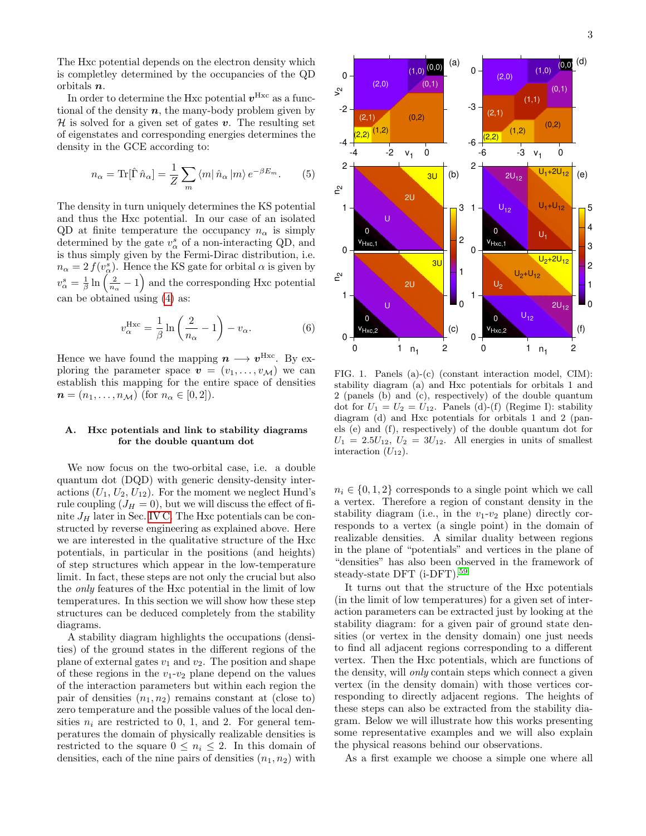The Hxc potential depends on the electron density which is completley determined by the occupancies of the QD orbitals n.

In order to determine the Hxc potential  $v^{Hxc}$  as a functional of the density  $n$ , the many-body problem given by  $\mathcal H$  is solved for a given set of gates v. The resulting set of eigenstates and corresponding energies determines the density in the GCE according to:

$$
n_{\alpha} = \text{Tr}[\hat{\Gamma}\,\hat{n}_{\alpha}] = \frac{1}{Z} \sum_{m} \langle m|\,\hat{n}_{\alpha}\,|m\rangle \, e^{-\beta E_{m}}.\tag{5}
$$

The density in turn uniquely determines the KS potential and thus the Hxc potential. In our case of an isolated QD at finite temperature the occupancy  $n_{\alpha}$  is simply determined by the gate  $v^s_\alpha$  of a non-interacting QD, and is thus simply given by the Fermi-Dirac distribution, i.e.  $n_{\alpha} = 2 f(v_{\alpha}^{s})$ . Hence the KS gate for orbital  $\alpha$  is given by  $v_{\alpha}^{s} = \frac{1}{\beta} \ln \left( \frac{2}{n_{\alpha}} - 1 \right)$  and the corresponding Hxc potential can be obtained using [\(4\)](#page-1-1) as:

$$
v_{\alpha}^{\text{Hxc}} = \frac{1}{\beta} \ln \left( \frac{2}{n_{\alpha}} - 1 \right) - v_{\alpha}.
$$
 (6)

Hence we have found the mapping  $n \longrightarrow v^{\text{Hxc}}$ . By exploring the parameter space  $\mathbf{v} = (v_1, \ldots, v_M)$  we can establish this mapping for the entire space of densities  $n = (n_1, \ldots, n_{\mathcal{M}})$  (for  $n_{\alpha} \in [0, 2]$ ).

## A. Hxc potentials and link to stability diagrams for the double quantum dot

We now focus on the two-orbital case, i.e. a double quantum dot (DQD) with generic density-density interactions  $(U_1, U_2, U_{12})$ . For the moment we neglect Hund's rule coupling  $(J_H = 0)$ , but we will discuss the effect of finite  $J_H$  later in Sec. [IV C.](#page-6-0) The Hxc potentials can be constructed by reverse engineering as explained above. Here we are interested in the qualitative structure of the Hxc potentials, in particular in the positions (and heights) of step structures which appear in the low-temperature limit. In fact, these steps are not only the crucial but also the only features of the Hxc potential in the limit of low temperatures. In this section we will show how these step structures can be deduced completely from the stability diagrams.

A stability diagram highlights the occupations (densities) of the ground states in the different regions of the plane of external gates  $v_1$  and  $v_2$ . The position and shape of these regions in the  $v_1-v_2$  plane depend on the values of the interaction parameters but within each region the pair of densities  $(n_1, n_2)$  remains constant at (close to) zero temperature and the possible values of the local densities  $n_i$  are restricted to 0, 1, and 2. For general temperatures the domain of physically realizable densities is restricted to the square  $0 \leq n_i \leq 2$ . In this domain of densities, each of the nine pairs of densities  $(n_1, n_2)$  with



<span id="page-2-0"></span>FIG. 1. Panels (a)-(c) (constant interaction model, CIM): stability diagram (a) and Hxc potentials for orbitals 1 and 2 (panels (b) and (c), respectively) of the double quantum dot for  $U_1 = U_2 = U_{12}$ . Panels (d)-(f) (Regime I): stability diagram (d) and Hxc potentials for orbitals 1 and 2 (panels (e) and (f), respectively) of the double quantum dot for  $U_1 = 2.5U_{12}$ ,  $U_2 = 3U_{12}$ . All energies in units of smallest interaction  $(U_{12})$ .

 $n_i \in \{0, 1, 2\}$  corresponds to a single point which we call a vertex. Therefore a region of constant density in the stability diagram (i.e., in the  $v_1-v_2$  plane) directly corresponds to a vertex (a single point) in the domain of realizable densities. A similar duality between regions in the plane of "potentials" and vertices in the plane of "densities" has also been observed in the framework of steady-state DFT (i-DFT).[59](#page-11-34)

It turns out that the structure of the Hxc potentials (in the limit of low temperatures) for a given set of interaction parameters can be extracted just by looking at the stability diagram: for a given pair of ground state densities (or vertex in the density domain) one just needs to find all adjacent regions corresponding to a different vertex. Then the Hxc potentials, which are functions of the density, will only contain steps which connect a given vertex (in the density domain) with those vertices corresponding to directly adjacent regions. The heights of these steps can also be extracted from the stability diagram. Below we will illustrate how this works presenting some representative examples and we will also explain the physical reasons behind our observations.

As a first example we choose a simple one where all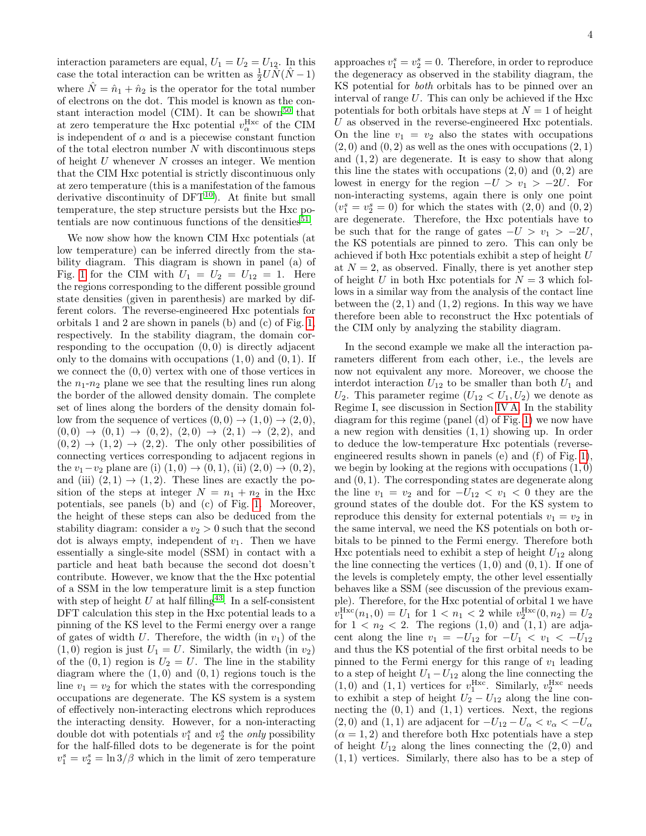interaction parameters are equal,  $U_1 = U_2 = U_{12}$ . In this case the total interaction can be written as  $\frac{1}{2}U\hat{N}(\hat{N}-1)$ where  $\hat{N} = \hat{n}_1 + \hat{n}_2$  is the operator for the total number of electrons on the dot. This model is known as the con-stant interaction model (CIM). It can be shown<sup>[50](#page-11-35)</sup> that at zero temperature the Hxc potential  $v_\alpha^{\rm Hxc}$  of the CIM is independent of  $\alpha$  and is a piecewise constant function of the total electron number  $N$  with discontinuous steps of height  $U$  whenever  $N$  crosses an integer. We mention that the CIM Hxc potential is strictly discontinuous only at zero temperature (this is a manifestation of the famous derivative discontinuity of  $DFT^{10}$  $DFT^{10}$  $DFT^{10}$ ). At finite but small temperature, the step structure persists but the Hxc po-tentials are now continuous functions of the densities<sup>[51](#page-11-36)</sup>.

We now show how the known CIM Hxc potentials (at low temperature) can be inferred directly from the stability diagram. This diagram is shown in panel (a) of Fig. [1](#page-2-0) for the CIM with  $U_1 = U_2 = U_{12} = 1$ . Here the regions corresponding to the different possible ground state densities (given in parenthesis) are marked by different colors. The reverse-engineered Hxc potentials for orbitals 1 and 2 are shown in panels (b) and (c) of Fig. [1,](#page-2-0) respectively. In the stability diagram, the domain corresponding to the occupation  $(0, 0)$  is directly adjacent only to the domains with occupations  $(1, 0)$  and  $(0, 1)$ . If we connect the  $(0, 0)$  vertex with one of those vertices in the  $n_1-n_2$  plane we see that the resulting lines run along the border of the allowed density domain. The complete set of lines along the borders of the density domain follow from the sequence of vertices  $(0,0) \rightarrow (1,0) \rightarrow (2,0)$ ,  $(0, 0) \rightarrow (0, 1) \rightarrow (0, 2), (2, 0) \rightarrow (2, 1) \rightarrow (2, 2),$  and  $(0, 2) \rightarrow (1, 2) \rightarrow (2, 2)$ . The only other possibilities of connecting vertices corresponding to adjacent regions in the  $v_1-v_2$  plane are (i)  $(1,0) \rightarrow (0,1)$ , (ii)  $(2,0) \rightarrow (0,2)$ , and (iii)  $(2, 1) \rightarrow (1, 2)$ . These lines are exactly the position of the steps at integer  $N = n_1 + n_2$  in the Hxc potentials, see panels (b) and (c) of Fig. [1.](#page-2-0) Moreover, the height of these steps can also be deduced from the stability diagram: consider a  $v_2 > 0$  such that the second dot is always empty, independent of  $v_1$ . Then we have essentially a single-site model (SSM) in contact with a particle and heat bath because the second dot doesn't contribute. However, we know that the the Hxc potential of a SSM in the low temperature limit is a step function with step of height U at half filling<sup>[43](#page-11-28)</sup>. In a self-consistent DFT calculation this step in the Hxc potential leads to a pinning of the KS level to the Fermi energy over a range of gates of width U. Therefore, the width (in  $v_1$ ) of the  $(1, 0)$  region is just  $U_1 = U$ . Similarly, the width  $(in v_2)$ of the  $(0, 1)$  region is  $U_2 = U$ . The line in the stability diagram where the  $(1, 0)$  and  $(0, 1)$  regions touch is the line  $v_1 = v_2$  for which the states with the corresponding occupations are degenerate. The KS system is a system of effectively non-interacting electrons which reproduces the interacting density. However, for a non-interacting double dot with potentials  $v_1^s$  and  $v_2^s$  the *only* possibility for the half-filled dots to be degenerate is for the point  $v_1^s = v_2^s = \ln 3/\beta$  which in the limit of zero temperature

approaches  $v_1^s = v_2^s = 0$ . Therefore, in order to reproduce the degeneracy as observed in the stability diagram, the KS potential for both orbitals has to be pinned over an interval of range U. This can only be achieved if the Hxc potentials for both orbitals have steps at  $N = 1$  of height U as observed in the reverse-engineered Hxc potentials. On the line  $v_1 = v_2$  also the states with occupations  $(2, 0)$  and  $(0, 2)$  as well as the ones with occupations  $(2, 1)$ and  $(1, 2)$  are degenerate. It is easy to show that along this line the states with occupations  $(2,0)$  and  $(0,2)$  are lowest in energy for the region  $-U > v_1 > -2U$ . For non-interacting systems, again there is only one point  $(v_1^s = v_2^s = 0)$  for which the states with  $(2,0)$  and  $(0,2)$ are degenerate. Therefore, the Hxc potentials have to be such that for the range of gates  $-U > v_1 > -2U$ , the KS potentials are pinned to zero. This can only be achieved if both Hxc potentials exhibit a step of height U at  $N = 2$ , as observed. Finally, there is yet another step of height U in both Hxc potentials for  $N = 3$  which follows in a similar way from the analysis of the contact line between the  $(2, 1)$  and  $(1, 2)$  regions. In this way we have therefore been able to reconstruct the Hxc potentials of the CIM only by analyzing the stability diagram.

In the second example we make all the interaction parameters different from each other, i.e., the levels are now not equivalent any more. Moreover, we choose the interdot interaction  $U_{12}$  to be smaller than both  $U_1$  and  $U_2$ . This parameter regime  $(U_{12} < U_1, U_2)$  we denote as Regime I, see discussion in Section [IV A.](#page-4-0) In the stability diagram for this regime (panel (d) of Fig. [1\)](#page-2-0) we now have a new region with densities (1, 1) showing up. In order to deduce the low-temperature Hxc potentials (reverseengineered results shown in panels (e) and (f) of Fig. [1\)](#page-2-0), we begin by looking at the regions with occupations  $(1, 0)$ and  $(0, 1)$ . The corresponding states are degenerate along the line  $v_1 = v_2$  and for  $-U_{12} < v_1 < 0$  they are the ground states of the double dot. For the KS system to reproduce this density for external potentials  $v_1 = v_2$  in the same interval, we need the KS potentials on both orbitals to be pinned to the Fermi energy. Therefore both Hxc potentials need to exhibit a step of height  $U_{12}$  along the line connecting the vertices  $(1,0)$  and  $(0,1)$ . If one of the levels is completely empty, the other level essentially behaves like a SSM (see discussion of the previous example). Therefore, for the Hxc potential of orbital 1 we have  $v_1^{\text{Hxc}}(n_1, 0) = U_1$  for  $1 < n_1 < 2$  while  $v_2^{\text{Hxc}}(0, n_2) = U_2$ for  $1 < n_2 < 2$ . The regions  $(1,0)$  and  $(1,1)$  are adjacent along the line  $v_1 = -U_{12}$  for  $-U_1 < v_1 < -U_{12}$ and thus the KS potential of the first orbital needs to be pinned to the Fermi energy for this range of  $v_1$  leading to a step of height  $U_1 - U_{12}$  along the line connecting the  $(1,0)$  and  $(1,1)$  vertices for  $v_1^{\text{Hxc}}$ . Similarly,  $v_2^{\text{Hxc}}$  needs to exhibit a step of height  $U_2 - U_{12}$  along the line connecting the  $(0, 1)$  and  $(1, 1)$  vertices. Next, the regions (2,0) and (1, 1) are adjacent for  $-U_{12} - U_{\alpha} < v_{\alpha} < -U_{\alpha}$  $(\alpha = 1, 2)$  and therefore both Hxc potentials have a step of height  $U_{12}$  along the lines connecting the  $(2,0)$  and (1, 1) vertices. Similarly, there also has to be a step of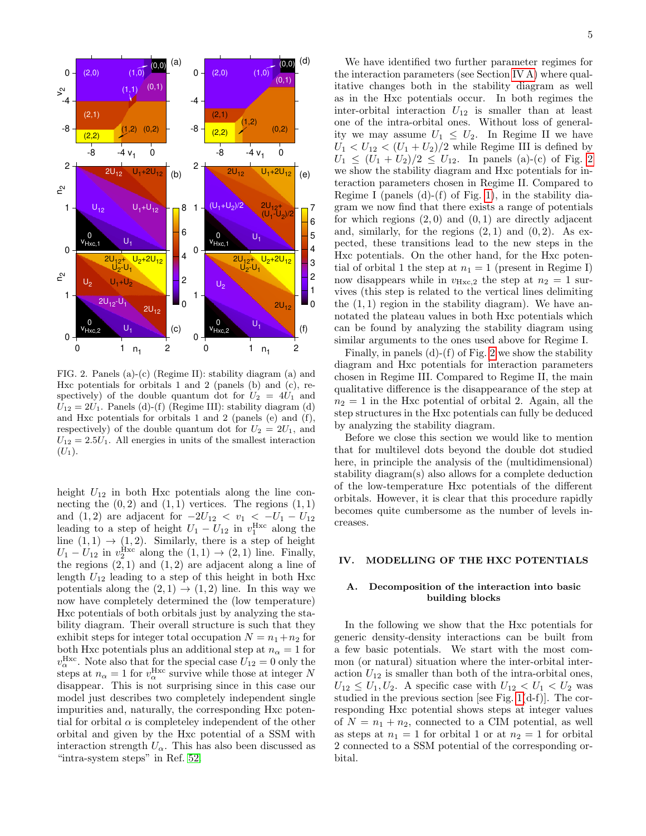

<span id="page-4-1"></span>FIG. 2. Panels (a)-(c) (Regime II): stability diagram (a) and Hxc potentials for orbitals 1 and 2 (panels (b) and (c), respectively) of the double quantum dot for  $U_2 = 4U_1$  and  $U_{12} = 2U_1$ . Panels (d)-(f) (Regime III): stability diagram (d) and Hxc potentials for orbitals 1 and 2 (panels (e) and (f), respectively) of the double quantum dot for  $U_2 = 2U_1$ , and  $U_{12} = 2.5U_1$ . All energies in units of the smallest interaction  $(U_1).$ 

height  $U_{12}$  in both Hxc potentials along the line connecting the  $(0, 2)$  and  $(1, 1)$  vertices. The regions  $(1, 1)$ and (1,2) are adjacent for  $-2U_{12} < v_1 < -U_1 - U_{12}$ leading to a step of height  $U_1 - U_{12}$  in  $v_1^{\text{Hxc}}$  along the line  $(1, 1) \rightarrow (1, 2)$ . Similarly, there is a step of height  $U_1 - U_{12}$  in  $v_2^{\text{Hxc}}$  along the  $(1, 1) \rightarrow (2, 1)$  line. Finally, the regions  $(2, 1)$  and  $(1, 2)$  are adjacent along a line of length  $U_{12}$  leading to a step of this height in both Hxc potentials along the  $(2, 1) \rightarrow (1, 2)$  line. In this way we now have completely determined the (low temperature) Hxc potentials of both orbitals just by analyzing the stability diagram. Their overall structure is such that they exhibit steps for integer total occupation  $N = n_1 + n_2$  for both Hxc potentials plus an additional step at  $n_{\alpha} = 1$  for  $v_\alpha^{\text{Hxc}}$ . Note also that for the special case  $U_{12} = 0$  only the steps at  $n_{\alpha} = 1$  for  $v_{\alpha}^{\text{Hxc}}$  survive while those at integer N disappear. This is not surprising since in this case our model just describes two completely independent single impurities and, naturally, the corresponding Hxc potential for orbital  $\alpha$  is completeley independent of the other orbital and given by the Hxc potential of a SSM with interaction strength  $U_{\alpha}$ . This has also been discussed as "intra-system steps" in Ref. [52.](#page-11-37)

We have identified two further parameter regimes for the interaction parameters (see Section [IV A\)](#page-4-0) where qualitative changes both in the stability diagram as well as in the Hxc potentials occur. In both regimes the inter-orbital interaction  $U_{12}$  is smaller than at least one of the intra-orbital ones. Without loss of generality we may assume  $U_1 \leq U_2$ . In Regime II we have  $U_1 < U_{12} < (U_1 + U_2)/2$  while Regime III is defined by  $U_1 \leq (U_1 + U_2)/2 \leq U_{12}$ . In panels (a)-(c) of Fig. [2](#page-4-1) we show the stability diagram and Hxc potentials for interaction parameters chosen in Regime II. Compared to Regime I (panels  $(d)-(f)$  of Fig. [1\)](#page-2-0), in the stability diagram we now find that there exists a range of potentials for which regions  $(2, 0)$  and  $(0, 1)$  are directly adjacent and, similarly, for the regions  $(2, 1)$  and  $(0, 2)$ . As expected, these transitions lead to the new steps in the Hxc potentials. On the other hand, for the Hxc potential of orbital 1 the step at  $n_1 = 1$  (present in Regime I) now disappears while in  $v_{Hxc,2}$  the step at  $n_2 = 1$  survives (this step is related to the vertical lines delimiting the  $(1, 1)$  region in the stability diagram). We have annotated the plateau values in both Hxc potentials which can be found by analyzing the stability diagram using similar arguments to the ones used above for Regime I.

Finally, in panels  $(d)$ - $(f)$  of Fig. [2](#page-4-1) we show the stability diagram and Hxc potentials for interaction parameters chosen in Regime III. Compared to Regime II, the main qualitative difference is the disappearance of the step at  $n_2 = 1$  in the Hxc potential of orbital 2. Again, all the step structures in the Hxc potentials can fully be deduced by analyzing the stability diagram.

Before we close this section we would like to mention that for multilevel dots beyond the double dot studied here, in principle the analysis of the (multidimensional) stability diagram(s) also allows for a complete deduction of the low-temperature Hxc potentials of the different orbitals. However, it is clear that this procedure rapidly becomes quite cumbersome as the number of levels increases.

## IV. MODELLING OF THE HXC POTENTIALS

## <span id="page-4-0"></span>A. Decomposition of the interaction into basic building blocks

In the following we show that the Hxc potentials for generic density-density interactions can be built from a few basic potentials. We start with the most common (or natural) situation where the inter-orbital interaction  $U_{12}$  is smaller than both of the intra-orbital ones,  $U_{12} \leq U_1, U_2$ . A specific case with  $U_{12} < U_1 < U_2$  was studied in the previous section [see Fig. [1\(](#page-2-0)d-f)]. The corresponding Hxc potential shows steps at integer values of  $N = n_1 + n_2$ , connected to a CIM potential, as well as steps at  $n_1 = 1$  for orbital 1 or at  $n_2 = 1$  for orbital 2 connected to a SSM potential of the corresponding orbital.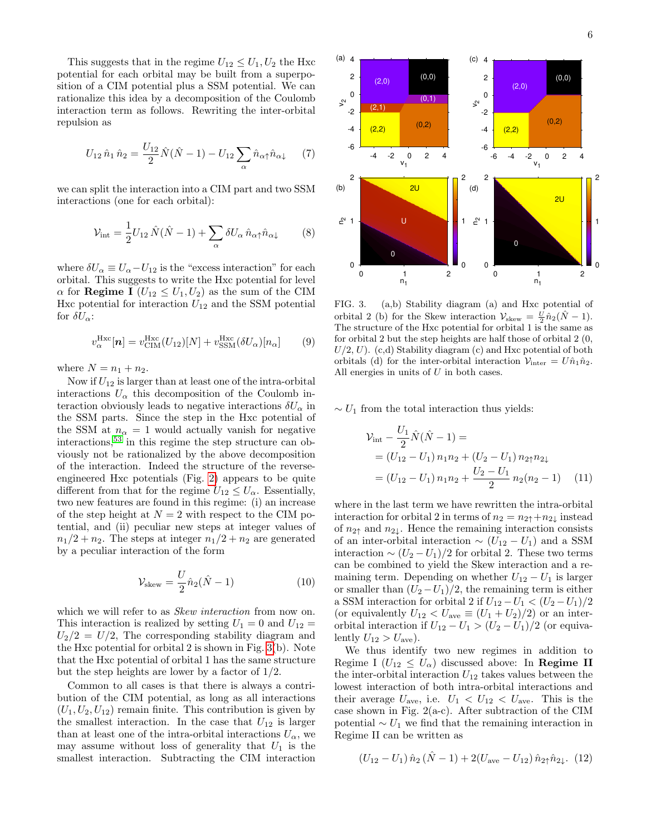This suggests that in the regime  $U_{12} \leq U_1, U_2$  the Hxc potential for each orbital may be built from a superposition of a CIM potential plus a SSM potential. We can rationalize this idea by a decomposition of the Coulomb interaction term as follows. Rewriting the inter-orbital repulsion as

$$
U_{12}\,\hat{n}_1\,\hat{n}_2 = \frac{U_{12}}{2}\hat{N}(\hat{N}-1) - U_{12}\sum_{\alpha}\hat{n}_{\alpha\uparrow}\hat{n}_{\alpha\downarrow} \qquad (7)
$$

we can split the interaction into a CIM part and two SSM interactions (one for each orbital):

<span id="page-5-2"></span>
$$
\mathcal{V}_{\text{int}} = \frac{1}{2} U_{12} \hat{N} (\hat{N} - 1) + \sum_{\alpha} \delta U_{\alpha} \hat{n}_{\alpha \uparrow} \hat{n}_{\alpha \downarrow} \tag{8}
$$

where  $\delta U_{\alpha} \equiv U_{\alpha} - U_{12}$  is the "excess interaction" for each orbital. This suggests to write the Hxc potential for level  $\alpha$  for **Regime I** ( $U_{12} \leq U_1, U_2$ ) as the sum of the CIM Hxc potential for interaction  $U_{12}$  and the SSM potential for  $\delta U_{\alpha}$ :

<span id="page-5-3"></span>
$$
v_{\alpha}^{\text{Hxc}}[\boldsymbol{n}] = v_{\text{CIM}}^{\text{Hxc}}(U_{12})[N] + v_{\text{SSM}}^{\text{Hxc}}(\delta U_{\alpha})[n_{\alpha}] \qquad (9)
$$

where  $N = n_1 + n_2$ .

Now if  $U_{12}$  is larger than at least one of the intra-orbital interactions  $U_{\alpha}$  this decomposition of the Coulomb interaction obviously leads to negative interactions  $\delta U_{\alpha}$  in the SSM parts. Since the step in the Hxc potential of the SSM at  $n_{\alpha} = 1$  would actually vanish for negative interactions,[53](#page-11-38) in this regime the step structure can obviously not be rationalized by the above decomposition of the interaction. Indeed the structure of the reverseengineered Hxc potentials (Fig. [2\)](#page-4-1) appears to be quite different from that for the regime  $U_{12} \leq U_{\alpha}$ . Essentially, two new features are found in this regime: (i) an increase of the step height at  $N = 2$  with respect to the CIM potential, and (ii) peculiar new steps at integer values of  $n_1/2 + n_2$ . The steps at integer  $n_1/2 + n_2$  are generated by a peculiar interaction of the form

<span id="page-5-1"></span>
$$
\mathcal{V}_{\text{skew}} = \frac{U}{2} \hat{n}_2 (\hat{N} - 1) \tag{10}
$$

which we will refer to as *Skew interaction* from now on. This interaction is realized by setting  $U_1 = 0$  and  $U_{12} =$  $U_2/2 = U/2$ , The corresponding stability diagram and the Hxc potential for orbital 2 is shown in Fig. [3\(](#page-5-0)b). Note that the Hxc potential of orbital 1 has the same structure but the step heights are lower by a factor of 1/2.

Common to all cases is that there is always a contribution of the CIM potential, as long as all interactions  $(U_1, U_2, U_{12})$  remain finite. This contribution is given by the smallest interaction. In the case that  $U_{12}$  is larger than at least one of the intra-orbital interactions  $U_{\alpha}$ , we may assume without loss of generality that  $U_1$  is the smallest interaction. Subtracting the CIM interaction



<span id="page-5-0"></span>FIG. 3. (a,b) Stability diagram (a) and Hxc potential of orbital 2 (b) for the Skew interaction  $\mathcal{V}_{\text{skew}} = \frac{U}{2} \hat{n}_2 (\hat{N} - 1)$ . The structure of the Hxc potential for orbital 1 is the same as for orbital 2 but the step heights are half those of orbital 2 (0,  $U/2, U$ . (c,d) Stability diagram (c) and Hxc potential of both orbitals (d) for the inter-orbital interaction  $\mathcal{V}_{\text{inter}} = U \hat{n}_1 \hat{n}_2$ . All energies in units of  $U$  in both cases.

 $\sim U_1$  from the total interaction thus yields:

$$
\mathcal{V}_{\text{int}} - \frac{U_1}{2} \hat{N} (\hat{N} - 1) =
$$
  
=  $(U_{12} - U_1) n_1 n_2 + (U_2 - U_1) n_2 n_2$   
=  $(U_{12} - U_1) n_1 n_2 + \frac{U_2 - U_1}{2} n_2 (n_2 - 1)$  (11)

where in the last term we have rewritten the intra-orbital interaction for orbital 2 in terms of  $n_2 = n_{2\uparrow} + n_{2\downarrow}$  instead of  $n_{2\uparrow}$  and  $n_{2\downarrow}$ . Hence the remaining interaction consists of an inter-orbital interaction  $\sim (U_{12} - U_1)$  and a SSM interaction  $\sim (U_2 - U_1)/2$  for orbital 2. These two terms can be combined to yield the Skew interaction and a remaining term. Depending on whether  $U_{12} - U_1$  is larger or smaller than  $(U_2-U_1)/2$ , the remaining term is either a SSM interaction for orbital 2 if  $U_{12} - U_1 < (U_2 - U_1)/2$ (or equivalently  $U_{12} < U_{\text{ave}} \equiv (U_1 + U_2)/2$ ) or an interorbital interaction if  $U_{12} - U_1 > (U_2 - U_1)/2$  (or equivalently  $U_{12} > U_{\text{ave}}$ ).

We thus identify two new regimes in addition to Regime I  $(U_{12} \leq U_{\alpha})$  discussed above: In **Regime II** the inter-orbital interaction  $U_{12}$  takes values between the lowest interaction of both intra-orbital interactions and their average  $U_{\text{ave}}$ , i.e.  $U_1 < U_{12} < U_{\text{ave}}$ . This is the case shown in Fig. 2(a-c). After subtraction of the CIM potential  $\sim U_1$  we find that the remaining interaction in Regime II can be written as

$$
(U_{12} - U_1) \,\hat{n}_2 \,(\hat{N} - 1) + 2(U_{\text{ave}} - U_{12}) \,\hat{n}_{2\uparrow} \hat{n}_{2\downarrow}.\tag{12}
$$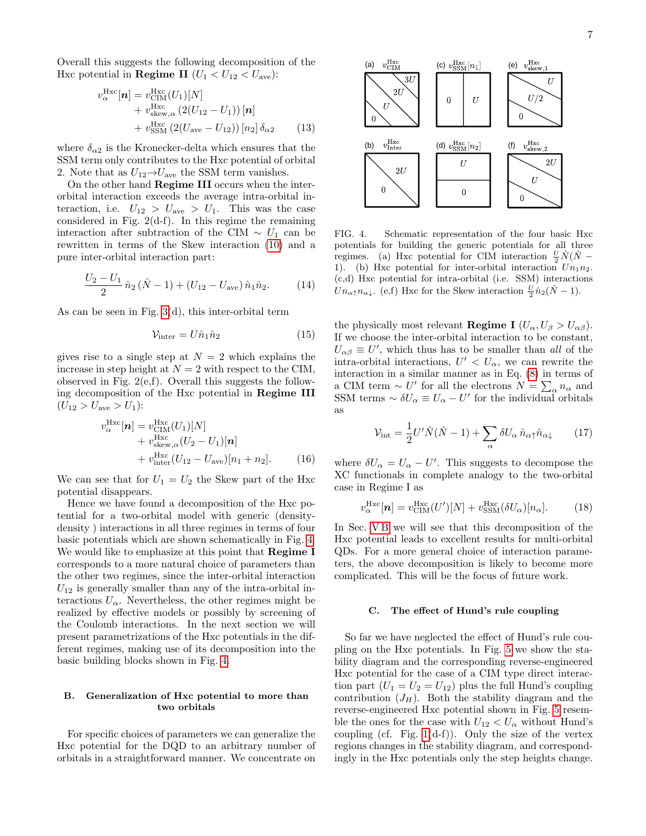7

Overall this suggests the following decomposition of the Hxc potential in **Regime II**  $(U_1 < U_{12} < U_{\text{ave}})$ :

$$
v_{\alpha}^{\text{Hxc}}[\boldsymbol{n}] = v_{\text{CIM}}^{\text{Hxc}}(U_1)[N] + v_{\text{skew}, \alpha}^{\text{Hxc}} (2(U_{12} - U_1)) [\boldsymbol{n}] + v_{\text{SSM}}^{\text{Hxc}} (2(U_{\text{ave}} - U_{12})) [n_2] \delta_{\alpha 2}
$$
(13)

where  $\delta_{\alpha 2}$  is the Kronecker-delta which ensures that the SSM term only contributes to the Hxc potential of orbital 2. Note that as  $U_{12}{\rightarrow}U_{\rm ave}$  the SSM term vanishes.

On the other hand Regime III occurs when the interorbital interaction exceeds the average intra-orbital interaction, i.e.  $U_{12} > U_{\text{ave}} > U_1$ . This was the case considered in Fig.  $2(d-f)$ . In this regime the remaining interaction after subtraction of the CIM  $\sim U_1$  can be rewritten in terms of the Skew interaction [\(10\)](#page-5-1) and a pure inter-orbital interaction part:

$$
\frac{U_2 - U_1}{2} \,\hat{n}_2 \left( \hat{N} - 1 \right) + \left( U_{12} - U_{\text{ave}} \right) \hat{n}_1 \hat{n}_2. \tag{14}
$$

As can be seen in Fig. [3\(](#page-5-0)d), this inter-orbital term

$$
\mathcal{V}_{\text{inter}} = U \hat{n}_1 \hat{n}_2 \tag{15}
$$

gives rise to a single step at  $N = 2$  which explains the increase in step height at  $N = 2$  with respect to the CIM, observed in Fig. 2(e,f). Overall this suggests the following decomposition of the Hxc potential in Regime III  $(U_{12} > U_{\text{ave}} > U_1)$ :

$$
v_{\alpha}^{\text{Hxc}}[\boldsymbol{n}] = v_{\text{CIM}}^{\text{Hxc}}(U_1)[N] + v_{\text{skew},\alpha}^{\text{Hxc}}(U_2 - U_1)[\boldsymbol{n}] + v_{\text{inter}}^{\text{Hxc}}(U_{12} - U_{\text{ave}})[n_1 + n_2].
$$
 (16)

We can see that for  $U_1 = U_2$  the Skew part of the Hxc potential disappears.

Hence we have found a decomposition of the Hxc potential for a two-orbital model with generic (densitydensity ) interactions in all three regimes in terms of four basic potentials which are shown schematically in Fig. [4.](#page-6-1) We would like to emphasize at this point that Regime I corresponds to a more natural choice of parameters than the other two regimes, since the inter-orbital interaction  $U_{12}$  is generally smaller than any of the intra-orbital interactions  $U_{\alpha}$ . Nevertheless, the other regimes might be realized by effective models or possibly by screening of the Coulomb interactions. In the next section we will present parametrizations of the Hxc potentials in the different regimes, making use of its decomposition into the basic building blocks shown in Fig. [4.](#page-6-1)

### B. Generalization of Hxc potential to more than two orbitals

For specific choices of parameters we can generalize the Hxc potential for the DQD to an arbitrary number of orbitals in a straightforward manner. We concentrate on



<span id="page-6-1"></span>FIG. 4. Schematic representation of the four basic Hxc potentials for building the generic potentials for all three regimes. (a) Hxc potential for CIM interaction  $\frac{U}{2}\hat{N}(\hat{N} -$ 1). (b) Hxc potential for inter-orbital interaction  $Un_1n_2$ . (c,d) Hxc potential for intra-orbital (i.e. SSM) interactions  $Un_{\alpha\uparrow}n_{\alpha\downarrow}$ . (e,f) Hxc for the Skew interaction  $\frac{U}{2}\hat{n}_2(\hat{N}-1)$ .

the physically most relevant **Regime I**  $(U_{\alpha}, U_{\beta} > U_{\alpha\beta})$ . If we choose the inter-orbital interaction to be constant,  $U_{\alpha\beta} \equiv U'$ , which thus has to be smaller than all of the intra-orbital interactions,  $U' < U_{\alpha}$ , we can rewrite the interaction in a similar manner as in Eq. [\(8\)](#page-5-2) in terms of a CIM term  $\sim U'$  for all the electrons  $N = \sum_{\alpha} n_{\alpha}$  and SSM terms  $\sim \delta U_{\alpha} \equiv U_{\alpha} - U'$  for the individual orbitals as

$$
\mathcal{V}_{\text{int}} = \frac{1}{2} U' \hat{N} (\hat{N} - 1) + \sum_{\alpha} \delta U_{\alpha} \hat{n}_{\alpha \uparrow} \hat{n}_{\alpha \downarrow} \qquad (17)
$$

where  $\delta U_{\alpha} = U_{\alpha} - U'$ . This suggests to decompose the XC functionals in complete analogy to the two-orbital case in Regime I as

<span id="page-6-2"></span>
$$
v_{\alpha}^{\text{Hxc}}[\boldsymbol{n}] = v_{\text{CIM}}^{\text{Hxc}}(U')[N] + v_{\text{SSM}}^{\text{Hxc}}(\delta U_{\alpha})[n_{\alpha}]. \tag{18}
$$

In Sec. VB we will see that this decomposition of the Hxc potential leads to excellent results for multi-orbital QDs. For a more general choice of interaction parameters, the above decomposition is likely to become more complicated. This will be the focus of future work.

### <span id="page-6-0"></span>C. The effect of Hund's rule coupling

So far we have neglected the effect of Hund's rule coupling on the Hxc potentials. In Fig. [5](#page-7-0) we show the stability diagram and the corresponding reverse-engineered Hxc potential for the case of a CIM type direct interaction part  $(U_1 = U_2 = U_{12})$  plus the full Hund's coupling contribution  $(J_H)$ . Both the stability diagram and the reverse-engineered Hxc potential shown in Fig. [5](#page-7-0) resemble the ones for the case with  $U_{12} < U_{\alpha}$  without Hund's coupling (cf. Fig.  $1(d-f)$ ). Only the size of the vertex regions changes in the stability diagram, and correspondingly in the Hxc potentials only the step heights change.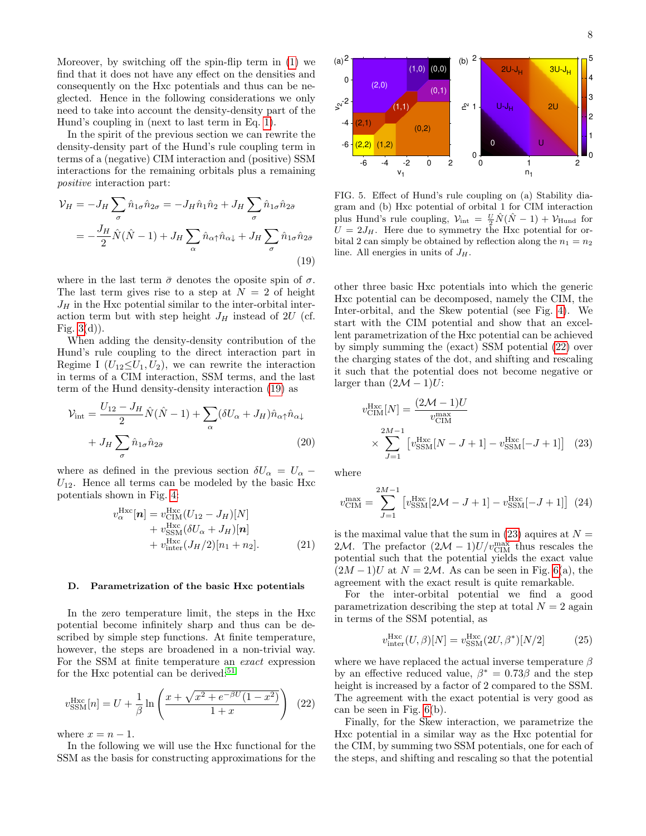Moreover, by switching off the spin-flip term in [\(1\)](#page-1-0) we find that it does not have any effect on the densities and consequently on the Hxc potentials and thus can be neglected. Hence in the following considerations we only need to take into account the density-density part of the Hund's coupling in (next to last term in Eq. [1\)](#page-1-0).

In the spirit of the previous section we can rewrite the density-density part of the Hund's rule coupling term in terms of a (negative) CIM interaction and (positive) SSM interactions for the remaining orbitals plus a remaining positive interaction part:

<span id="page-7-1"></span>
$$
\mathcal{V}_H = -J_H \sum_{\sigma} \hat{n}_{1\sigma} \hat{n}_{2\sigma} = -J_H \hat{n}_1 \hat{n}_2 + J_H \sum_{\sigma} \hat{n}_{1\sigma} \hat{n}_{2\bar{\sigma}}
$$

$$
= -\frac{J_H}{2} \hat{N} (\hat{N} - 1) + J_H \sum_{\alpha} \hat{n}_{\alpha\uparrow} \hat{n}_{\alpha\downarrow} + J_H \sum_{\sigma} \hat{n}_{1\sigma} \hat{n}_{2\bar{\sigma}}
$$
(19)

where in the last term  $\bar{\sigma}$  denotes the oposite spin of  $\sigma$ . The last term gives rise to a step at  $N = 2$  of height  $J_H$  in the Hxc potential similar to the inter-orbital interaction term but with step height  $J_H$  instead of 2U (cf. Fig.  $3(d)$ ).

When adding the density-density contribution of the Hund's rule coupling to the direct interaction part in Regime I  $(U_{12} \leq U_1, U_2)$ , we can rewrite the interaction in terms of a CIM interaction, SSM terms, and the last term of the Hund density-density interaction [\(19\)](#page-7-1) as

$$
\mathcal{V}_{\text{int}} = \frac{U_{12} - J_H}{2} \hat{N}(\hat{N} - 1) + \sum_{\alpha} (\delta U_{\alpha} + J_H) \hat{n}_{\alpha\uparrow} \hat{n}_{\alpha\downarrow} + J_H \sum_{\sigma} \hat{n}_{1\sigma} \hat{n}_{2\bar{\sigma}} \tag{20}
$$

where as defined in the previous section  $\delta U_{\alpha} = U_{\alpha}$  –  $U_{12}$ . Hence all terms can be modeled by the basic Hxc potentials shown in Fig. [4:](#page-6-1)

$$
v_{\alpha}^{\text{Hxc}}[\boldsymbol{n}] = v_{\text{CIM}}^{\text{Hxc}}(U_{12} - J_H)[N] + v_{\text{SSM}}^{\text{Hxc}}(\delta U_{\alpha} + J_H)[\boldsymbol{n}] + v_{\text{inter}}^{\text{Hxc}}(J_H/2)[n_1 + n_2].
$$
 (21)

#### D. Parametrization of the basic Hxc potentials

In the zero temperature limit, the steps in the Hxc potential become infinitely sharp and thus can be described by simple step functions. At finite temperature, however, the steps are broadened in a non-trivial way. For the SSM at finite temperature an exact expression for the Hxc potential can be derived: $51$ 

<span id="page-7-2"></span>
$$
v_{\text{SSM}}^{\text{Hxc}}[n] = U + \frac{1}{\beta} \ln \left( \frac{x + \sqrt{x^2 + e^{-\beta U} (1 - x^2)}}{1 + x} \right) (22)
$$

where  $x = n - 1$ .

In the following we will use the Hxc functional for the SSM as the basis for constructing approximations for the



<span id="page-7-0"></span>FIG. 5. Effect of Hund's rule coupling on (a) Stability diagram and (b) Hxc potential of orbital 1 for CIM interaction plus Hund's rule coupling,  $\mathcal{V}_{\text{int}} = \frac{U}{2} \hat{N}(\hat{N} - 1) + \mathcal{V}_{\text{Hund}}$  for  $U = 2J_H$ . Here due to symmetry the Hxc potential for orbital 2 can simply be obtained by reflection along the  $n_1 = n_2$ line. All energies in units of  $J_H$ .

other three basic Hxc potentials into which the generic Hxc potential can be decomposed, namely the CIM, the Inter-orbital, and the Skew potential (see Fig. [4\)](#page-6-1). We start with the CIM potential and show that an excellent parametrization of the Hxc potential can be achieved by simply summing the (exact) SSM potential [\(22\)](#page-7-2) over the charging states of the dot, and shifting and rescaling it such that the potential does not become negative or larger than  $(2\mathcal{M} - 1)U$ :

<span id="page-7-3"></span>
$$
v_{\text{CIM}}^{\text{Hxc}}[N] = \frac{(2M - 1)U}{v_{\text{CIM}}^{\text{max}}}
$$
  
 
$$
\times \sum_{J=1}^{2M-1} \left[ v_{\text{SSM}}^{\text{Hxc}}[N - J + 1] - v_{\text{SSM}}^{\text{Hxc}}[-J + 1] \right] (23)
$$

where

$$
v_{\text{CIM}}^{\text{max}} = \sum_{J=1}^{2M-1} \left[ v_{\text{SSM}}^{\text{Hxc}} [2\mathcal{M} - J + 1] - v_{\text{SSM}}^{\text{Hxc}} [-J + 1] \right] (24)
$$

is the maximal value that the sum in  $(23)$  aquires at  $N =$ 2M. The prefactor  $(2M - 1)U/v_{\text{CIM}}^{\text{max}}$  thus rescales the potential such that the potential yields the exact value  $(2M-1)U$  at  $N=2M$ . As can be seen in Fig. [6\(](#page-8-0)a), the agreement with the exact result is quite remarkable.

For the inter-orbital potential we find a good parametrization describing the step at total  $N = 2$  again in terms of the SSM potential, as

$$
v_{\text{inter}}^{\text{Hxc}}(U,\beta)[N] = v_{\text{SSM}}^{\text{Hxc}}(2U,\beta^*)[N/2] \tag{25}
$$

where we have replaced the actual inverse temperature  $\beta$ by an effective reduced value,  $\beta^* = 0.73\beta$  and the step height is increased by a factor of 2 compared to the SSM. The agreement with the exact potential is very good as can be seen in Fig. [6\(](#page-8-0)b).

Finally, for the Skew interaction, we parametrize the Hxc potential in a similar way as the Hxc potential for the CIM, by summing two SSM potentials, one for each of the steps, and shifting and rescaling so that the potential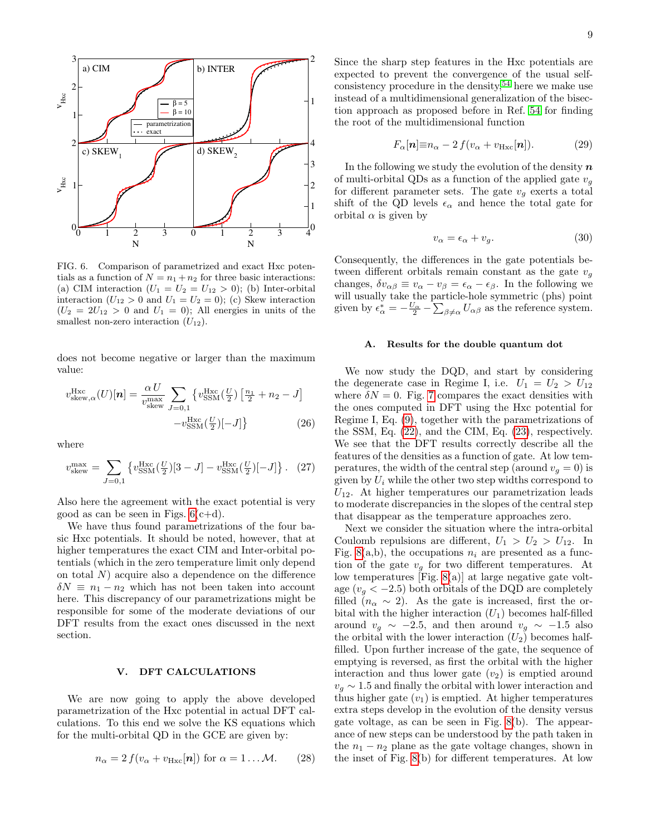

<span id="page-8-0"></span>FIG. 6. Comparison of parametrized and exact Hxc potentials as a function of  $N = n_1 + n_2$  for three basic interactions: (a) CIM interaction  $(U_1 = U_2 = U_{12} > 0)$ ; (b) Inter-orbital interaction  $(U_{12} > 0$  and  $U_1 = U_2 = 0)$ ; (c) Skew interaction  $(U_2 = 2U_{12} > 0$  and  $U_1 = 0)$ ; All energies in units of the smallest non-zero interaction  $(U_{12})$ .

does not become negative or larger than the maximum value:

$$
v_{\text{skew},\alpha}^{\text{Hxc}}(U)[n] = \frac{\alpha U}{v_{\text{skew}}^{\text{max}}} \sum_{J=0,1} \left\{ v_{\text{SSM}}^{\text{Hxc}}\left(\frac{U}{2}\right) \left[\frac{n_1}{2} + n_2 - J\right] - v_{\text{SSM}}^{\text{Hxc}}\left(\frac{U}{2}\right) [-J] \right\}
$$
(26)

where

$$
v_{\text{skew}}^{\text{max}} = \sum_{J=0,1} \left\{ v_{\text{SSM}}^{\text{Hxc}}(\frac{U}{2})[3-J] - v_{\text{SSM}}^{\text{Hxc}}(\frac{U}{2})[-J] \right\}. \tag{27}
$$

Also here the agreement with the exact potential is very good as can be seen in Figs.  $6(c+d)$ .

We have thus found parametrizations of the four basic Hxc potentials. It should be noted, however, that at higher temperatures the exact CIM and Inter-orbital potentials (which in the zero temperature limit only depend on total  $N$ ) acquire also a dependence on the difference  $\delta N \equiv n_1 - n_2$  which has not been taken into account here. This discrepancy of our parametrizations might be responsible for some of the moderate deviations of our DFT results from the exact ones discussed in the next section.

### V. DFT CALCULATIONS

We are now going to apply the above developed parametrization of the Hxc potential in actual DFT calculations. To this end we solve the KS equations which for the multi-orbital QD in the GCE are given by:

$$
n_{\alpha} = 2 f(v_{\alpha} + v_{\text{Hxc}}[\boldsymbol{n}]) \text{ for } \alpha = 1 ... \mathcal{M}. \qquad (28)
$$

Since the sharp step features in the Hxc potentials are expected to prevent the convergence of the usual selfconsistency procedure in the density,  $54$  here we make use instead of a multidimensional generalization of the bisection approach as proposed before in Ref. [54](#page-11-39) for finding the root of the multidimensional function

$$
F_{\alpha}[\boldsymbol{n}] \equiv n_{\alpha} - 2 f(v_{\alpha} + v_{\text{Hxc}}[\boldsymbol{n}]). \tag{29}
$$

In the following we study the evolution of the density  $\boldsymbol{n}$ of multi-orbital QDs as a function of the applied gate  $v_q$ for different parameter sets. The gate  $v_q$  exerts a total shift of the QD levels  $\epsilon_{\alpha}$  and hence the total gate for orbital  $\alpha$  is given by

$$
v_{\alpha} = \epsilon_{\alpha} + v_g. \tag{30}
$$

Consequently, the differences in the gate potentials between different orbitals remain constant as the gate  $v_q$ changes,  $\delta v_{\alpha\beta} \equiv v_{\alpha} - v_{\beta} = \epsilon_{\alpha} - \epsilon_{\beta}$ . In the following we will usually take the particle-hole symmetric (phs) point given by  $\epsilon_{\alpha}^* = -\frac{U_{\alpha}}{2} - \sum_{\beta \neq \alpha} U_{\alpha\beta}$  as the reference system.

### A. Results for the double quantum dot

We now study the DQD, and start by considering the degenerate case in Regime I, i.e.  $U_1 = U_2 > U_{12}$ where  $\delta N = 0$ . Fig. [7](#page-9-0) compares the exact densities with the ones computed in DFT using the Hxc potential for Regime I, Eq. [\(9\)](#page-5-3), together with the parametrizations of the SSM, Eq. [\(22\)](#page-7-2), and the CIM, Eq. [\(23\)](#page-7-3), respectively. We see that the DFT results correctly describe all the features of the densities as a function of gate. At low temperatures, the width of the central step (around  $v_g = 0$ ) is given by  $U_i$  while the other two step widths correspond to  $U_{12}$ . At higher temperatures our parametrization leads to moderate discrepancies in the slopes of the central step that disappear as the temperature approaches zero.

Next we consider the situation where the intra-orbital Coulomb repulsions are different,  $U_1 > U_2 > U_{12}$ . In Fig. [8\(](#page-9-1)a,b), the occupations  $n_i$  are presented as a function of the gate  $v_q$  for two different temperatures. At low temperatures [Fig. [8\(](#page-9-1)a)] at large negative gate voltage  $(v_q < -2.5)$  both orbitals of the DQD are completely filled  $(n_{\alpha} \sim 2)$ . As the gate is increased, first the orbital with the higher interaction  $(U_1)$  becomes half-filled around  $v_g \sim -2.5$ , and then around  $v_g \sim -1.5$  also the orbital with the lower interaction  $(U_2)$  becomes halffilled. Upon further increase of the gate, the sequence of emptying is reversed, as first the orbital with the higher interaction and thus lower gate  $(v_2)$  is emptied around  $v_q \sim 1.5$  and finally the orbital with lower interaction and thus higher gate  $(v_1)$  is emptied. At higher temperatures extra steps develop in the evolution of the density versus gate voltage, as can be seen in Fig. [8\(](#page-9-1)b). The appearance of new steps can be understood by the path taken in the  $n_1 - n_2$  plane as the gate voltage changes, shown in the inset of Fig. [8\(](#page-9-1)b) for different temperatures. At low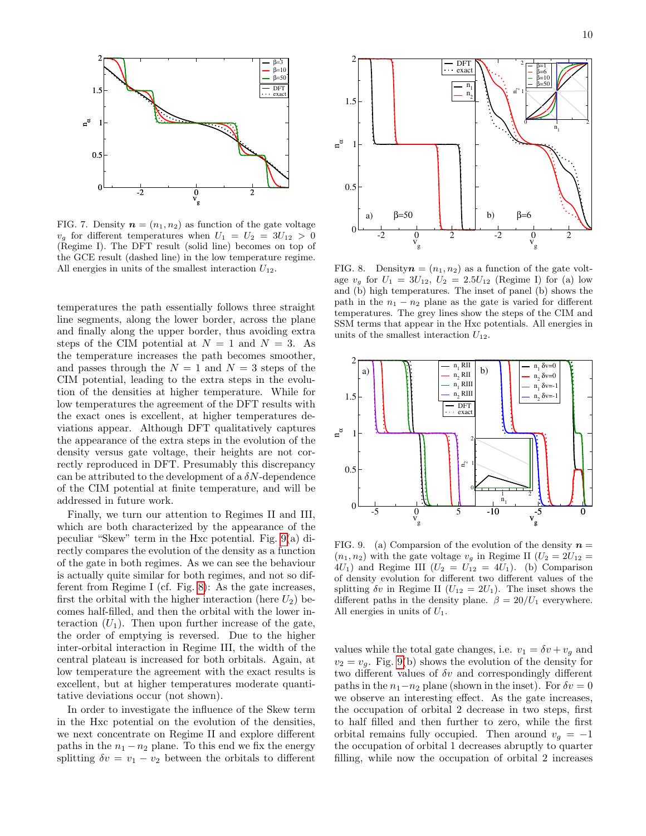

<span id="page-9-0"></span>FIG. 7. Density  $\mathbf{n} = (n_1, n_2)$  as function of the gate voltage  $v_q$  for different temperatures when  $U_1 = U_2 = 3U_{12} > 0$ (Regime I). The DFT result (solid line) becomes on top of the GCE result (dashed line) in the low temperature regime. All energies in units of the smallest interaction  $U_{12}$ .

temperatures the path essentially follows three straight line segments, along the lower border, across the plane and finally along the upper border, thus avoiding extra steps of the CIM potential at  $N = 1$  and  $N = 3$ . As the temperature increases the path becomes smoother, and passes through the  $N = 1$  and  $N = 3$  steps of the CIM potential, leading to the extra steps in the evolution of the densities at higher temperature. While for low temperatures the agreement of the DFT results with the exact ones is excellent, at higher temperatures deviations appear. Although DFT qualitatively captures the appearance of the extra steps in the evolution of the density versus gate voltage, their heights are not correctly reproduced in DFT. Presumably this discrepancy can be attributed to the development of a  $\delta N$ -dependence of the CIM potential at finite temperature, and will be addressed in future work.

Finally, we turn our attention to Regimes II and III, which are both characterized by the appearance of the peculiar "Skew" term in the Hxc potential. Fig. [9\(](#page-9-2)a) directly compares the evolution of the density as a function of the gate in both regimes. As we can see the behaviour is actually quite similar for both regimes, and not so different from Regime I (cf. Fig. [8\)](#page-9-1): As the gate increases, first the orbital with the higher interaction (here  $U_2$ ) becomes half-filled, and then the orbital with the lower interaction  $(U_1)$ . Then upon further increase of the gate, the order of emptying is reversed. Due to the higher inter-orbital interaction in Regime III, the width of the central plateau is increased for both orbitals. Again, at low temperature the agreement with the exact results is excellent, but at higher temperatures moderate quantitative deviations occur (not shown).

In order to investigate the influence of the Skew term in the Hxc potential on the evolution of the densities, we next concentrate on Regime II and explore different paths in the  $n_1 - n_2$  plane. To this end we fix the energy splitting  $\delta v = v_1 - v_2$  between the orbitals to different



<span id="page-9-1"></span>FIG. 8. Density  $\mathbf{n} = (n_1, n_2)$  as a function of the gate voltage  $v_g$  for  $U_1 = 3U_{12}$ ,  $U_2 = 2.5U_{12}$  (Regime I) for (a) low and (b) high temperatures. The inset of panel (b) shows the path in the  $n_1 - n_2$  plane as the gate is varied for different temperatures. The grey lines show the steps of the CIM and SSM terms that appear in the Hxc potentials. All energies in units of the smallest interaction  $U_{12}$ .



<span id="page-9-2"></span>FIG. 9. (a) Comparsion of the evolution of the density  $n =$  $(n_1, n_2)$  with the gate voltage  $v_g$  in Regime II  $(U_2 = 2U_{12} =$  $4U_1$ ) and Regime III  $(U_2 = U_{12} = 4U_1)$ . (b) Comparison of density evolution for different two different values of the splitting  $\delta v$  in Regime II ( $U_{12} = 2U_1$ ). The inset shows the different paths in the density plane.  $\beta = 20/U_1$  everywhere. All energies in units of  $U_1$ .

values while the total gate changes, i.e.  $v_1 = \delta v + v_g$  and  $v_2 = v_g$ . Fig. [9\(](#page-9-2)b) shows the evolution of the density for two different values of  $\delta v$  and correspondingly different paths in the  $n_1-n_2$  plane (shown in the inset). For  $\delta v = 0$ we observe an interesting effect. As the gate increases, the occupation of orbital 2 decrease in two steps, first to half filled and then further to zero, while the first orbital remains fully occupied. Then around  $v_q = -1$ the occupation of orbital 1 decreases abruptly to quarter filling, while now the occupation of orbital 2 increases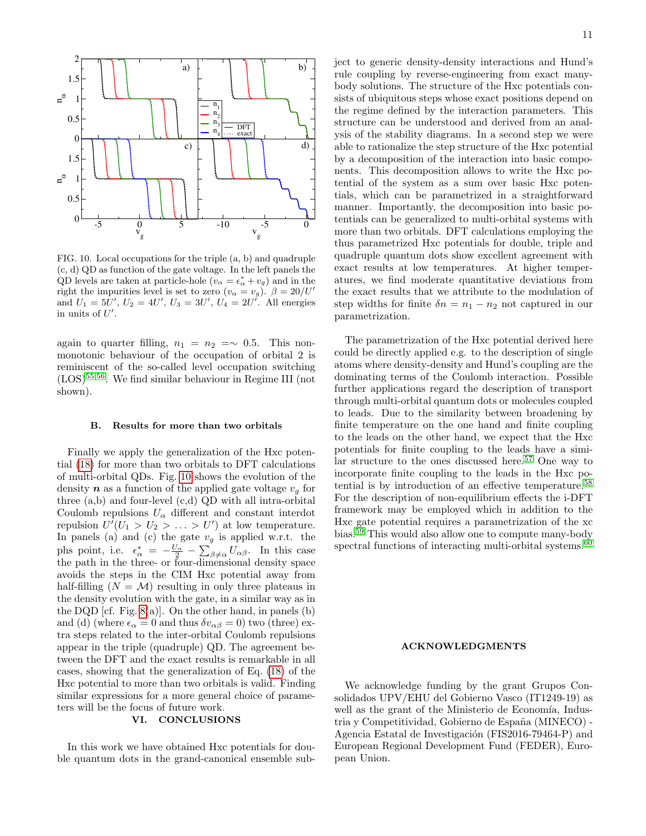

<span id="page-10-1"></span>FIG. 10. Local occupations for the triple (a, b) and quadruple (c, d) QD as function of the gate voltage. In the left panels the QD levels are taken at particle-hole  $(v_{\alpha} = \epsilon_{\alpha}^* + v_g)$  and in the right the impurities level is set to zero  $(v_{\alpha} = v_g)$ .  $\beta = 20/U'$ and  $U_1 = 5U'$ ,  $U_2 = 4U'$ ,  $U_3 = 3U'$ ,  $U_4 = 2U'$ . All energies in units of  $U'$ .

again to quarter filling,  $n_1 = n_2 = \sim 0.5$ . This nonmonotonic behaviour of the occupation of orbital 2 is reminiscent of the so-called level occupation switching  $(LOS)^{55,56}$  $(LOS)^{55,56}$  $(LOS)^{55,56}$  $(LOS)^{55,56}$ . We find similar behaviour in Regime III (not shown).

### <span id="page-10-0"></span>B. Results for more than two orbitals

Finally we apply the generalization of the Hxc potential [\(18\)](#page-6-2) for more than two orbitals to DFT calculations of multi-orbital QDs. Fig. [10](#page-10-1) shows the evolution of the density **n** as a function of the applied gate voltage  $v_q$  for three (a,b) and four-level (c,d) QD with all intra-orbital Coulomb repulsions  $U_{\alpha}$  different and constant interdot repulsion  $U'(U_1 > U_2 > \ldots > U')$  at low temperature. In panels (a) and (c) the gate  $v<sub>g</sub>$  is applied w.r.t. the phs point, i.e.  $\epsilon_{\alpha}^* = -\frac{U_{\alpha}}{2} - \sum_{\beta \neq \alpha} U_{\alpha\beta}$ . In this case the path in the three- or four-dimensional density space avoids the steps in the CIM Hxc potential away from half-filling  $(N = M)$  resulting in only three plateaus in the density evolution with the gate, in a similar way as in the DQD [cf. Fig.  $8(a)$ ]. On the other hand, in panels (b) and (d) (where  $\epsilon_{\alpha} = 0$  and thus  $\delta v_{\alpha\beta} = 0$ ) two (three) extra steps related to the inter-orbital Coulomb repulsions appear in the triple (quadruple) QD. The agreement between the DFT and the exact results is remarkable in all cases, showing that the generalization of Eq. [\(18\)](#page-6-2) of the Hxc potential to more than two orbitals is valid. Finding similar expressions for a more general choice of parameters will be the focus of future work.

## VI. CONCLUSIONS

In this work we have obtained Hxc potentials for double quantum dots in the grand-canonical ensemble subject to generic density-density interactions and Hund's rule coupling by reverse-engineering from exact manybody solutions. The structure of the Hxc potentials consists of ubiquitous steps whose exact positions depend on the regime defined by the interaction parameters. This structure can be understood and derived from an analysis of the stability diagrams. In a second step we were able to rationalize the step structure of the Hxc potential by a decomposition of the interaction into basic components. This decomposition allows to write the Hxc potential of the system as a sum over basic Hxc potentials, which can be parametrized in a straightforward manner. Importantly, the decomposition into basic potentials can be generalized to multi-orbital systems with more than two orbitals. DFT calculations employing the thus parametrized Hxc potentials for double, triple and quadruple quantum dots show excellent agreement with exact results at low temperatures. At higher temperatures, we find moderate quantitative deviations from the exact results that we attribute to the modulation of step widths for finite  $\delta n = n_1 - n_2$  not captured in our parametrization.

The parametrization of the Hxc potential derived here could be directly applied e.g. to the description of single atoms where density-density and Hund's coupling are the dominating terms of the Coulomb interaction. Possible further applications regard the description of transport through multi-orbital quantum dots or molecules coupled to leads. Due to the similarity between broadening by finite temperature on the one hand and finite coupling to the leads on the other hand, we expect that the Hxc potentials for finite coupling to the leads have a simi-lar structure to the ones discussed here.<sup>[57](#page-11-42)</sup> One way to incorporate finite coupling to the leads in the Hxc potential is by introduction of an effective temperature.[58](#page-11-43) For the description of non-equilibrium effects the i-DFT framework may be employed which in addition to the Hxc gate potential requires a parametrization of the xc bias.[59](#page-11-34) This would also allow one to compute many-body spectral functions of interacting multi-orbital systems. $60$ 

### ACKNOWLEDGMENTS

We acknowledge funding by the grant Grupos Consolidados UPV/EHU del Gobierno Vasco (IT1249-19) as well as the grant of the Ministerio de Economía, Industria y Competitividad, Gobierno de España (MINECO) -Agencia Estatal de Investigación (FIS2016-79464-P) and European Regional Development Fund (FEDER), European Union.